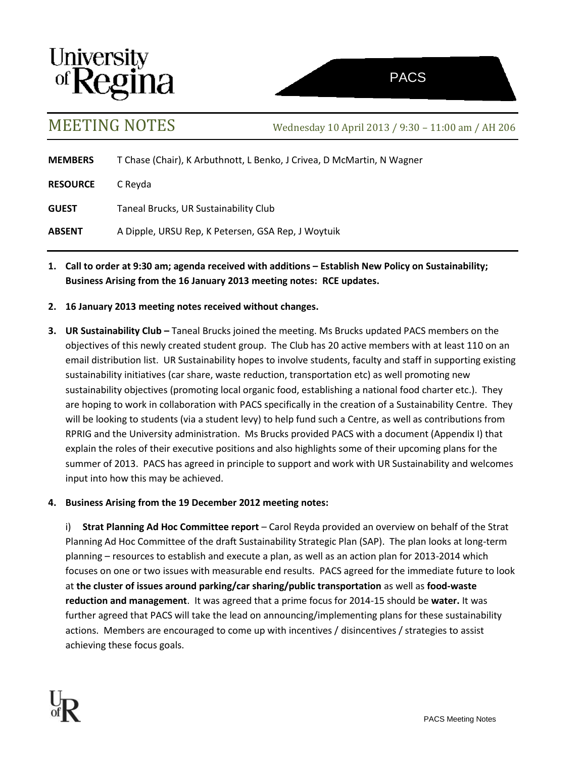



MEETING NOTES Wednesday <sup>10</sup> April <sup>2013</sup> / 9:30 – 11:00 am / AH <sup>206</sup>

**MEMBERS** T Chase (Chair), K Arbuthnott, L Benko, J Crivea, D McMartin, N Wagner

**RESOURCE** C Reyda

**GUEST** Taneal Brucks, UR Sustainability Club

**ABSENT** A Dipple, URSU Rep, K Petersen, GSA Rep, J Woytuik

- **1. Call to order at 9:30 am; agenda received with additions – Establish New Policy on Sustainability; Business Arising from the 16 January 2013 meeting notes: RCE updates.**
- **2. 16 January 2013 meeting notes received without changes.**
- **3. UR Sustainability Club –** Taneal Brucks joined the meeting. Ms Brucks updated PACS members on the objectives of this newly created student group. The Club has 20 active members with at least 110 on an email distribution list. UR Sustainability hopes to involve students, faculty and staff in supporting existing sustainability initiatives (car share, waste reduction, transportation etc) as well promoting new sustainability objectives (promoting local organic food, establishing a national food charter etc.). They are hoping to work in collaboration with PACS specifically in the creation of a Sustainability Centre. They will be looking to students (via a student levy) to help fund such a Centre, as well as contributions from RPRIG and the University administration. Ms Brucks provided PACS with a document (Appendix I) that explain the roles of their executive positions and also highlights some of their upcoming plans for the summer of 2013. PACS has agreed in principle to support and work with UR Sustainability and welcomes input into how this may be achieved.

# **4. Business Arising from the 19 December 2012 meeting notes:**

i) **Strat Planning Ad Hoc Committee report** – Carol Reyda provided an overview on behalf of the Strat Planning Ad Hoc Committee of the draft Sustainability Strategic Plan (SAP). The plan looks at long-term planning – resources to establish and execute a plan, as well as an action plan for 2013-2014 which focuses on one or two issues with measurable end results. PACS agreed for the immediate future to look at **the cluster of issues around parking/car sharing/public transportation** as well as **food-waste reduction and management**. It was agreed that a prime focus for 2014-15 should be **water.** It was further agreed that PACS will take the lead on announcing/implementing plans for these sustainability actions. Members are encouraged to come up with incentives / disincentives / strategies to assist achieving these focus goals.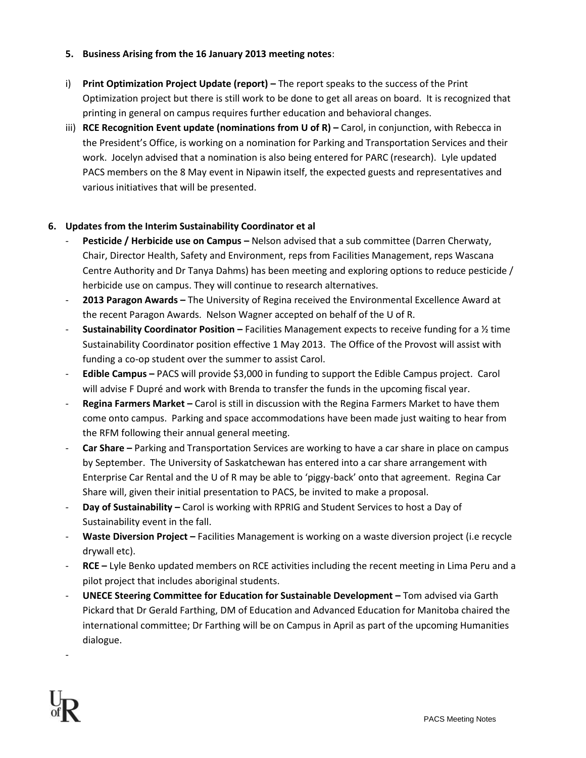### **5. Business Arising from the 16 January 2013 meeting notes**:

- i) **Print Optimization Project Update (report) –** The report speaks to the success of the Print Optimization project but there is still work to be done to get all areas on board. It is recognized that printing in general on campus requires further education and behavioral changes.
- iii) **RCE Recognition Event update (nominations from U of R) –** Carol, in conjunction, with Rebecca in the President's Office, is working on a nomination for Parking and Transportation Services and their work. Jocelyn advised that a nomination is also being entered for PARC (research). Lyle updated PACS members on the 8 May event in Nipawin itself, the expected guests and representatives and various initiatives that will be presented.

# **6. Updates from the Interim Sustainability Coordinator et al**

- **Pesticide / Herbicide use on Campus –** Nelson advised that a sub committee (Darren Cherwaty, Chair, Director Health, Safety and Environment, reps from Facilities Management, reps Wascana Centre Authority and Dr Tanya Dahms) has been meeting and exploring options to reduce pesticide / herbicide use on campus. They will continue to research alternatives.
- **2013 Paragon Awards –** The University of Regina received the Environmental Excellence Award at the recent Paragon Awards. Nelson Wagner accepted on behalf of the U of R.
- **Sustainability Coordinator Position –** Facilities Management expects to receive funding for a ½ time Sustainability Coordinator position effective 1 May 2013. The Office of the Provost will assist with funding a co-op student over the summer to assist Carol.
- **Edible Campus –** PACS will provide \$3,000 in funding to support the Edible Campus project. Carol will advise F Dupré and work with Brenda to transfer the funds in the upcoming fiscal year.
- **Regina Farmers Market** Carol is still in discussion with the Regina Farmers Market to have them come onto campus. Parking and space accommodations have been made just waiting to hear from the RFM following their annual general meeting.
- **Car Share –** Parking and Transportation Services are working to have a car share in place on campus by September. The University of Saskatchewan has entered into a car share arrangement with Enterprise Car Rental and the U of R may be able to 'piggy-back' onto that agreement. Regina Car Share will, given their initial presentation to PACS, be invited to make a proposal.
- **Day of Sustainability –** Carol is working with RPRIG and Student Services to host a Day of Sustainability event in the fall.
- **Waste Diversion Project –** Facilities Management is working on a waste diversion project (i.e recycle drywall etc).
- **RCE –** Lyle Benko updated members on RCE activities including the recent meeting in Lima Peru and a pilot project that includes aboriginal students.
- **UNECE Steering Committee for Education for Sustainable Development –** Tom advised via Garth Pickard that Dr Gerald Farthing, DM of Education and Advanced Education for Manitoba chaired the international committee; Dr Farthing will be on Campus in April as part of the upcoming Humanities dialogue.

-